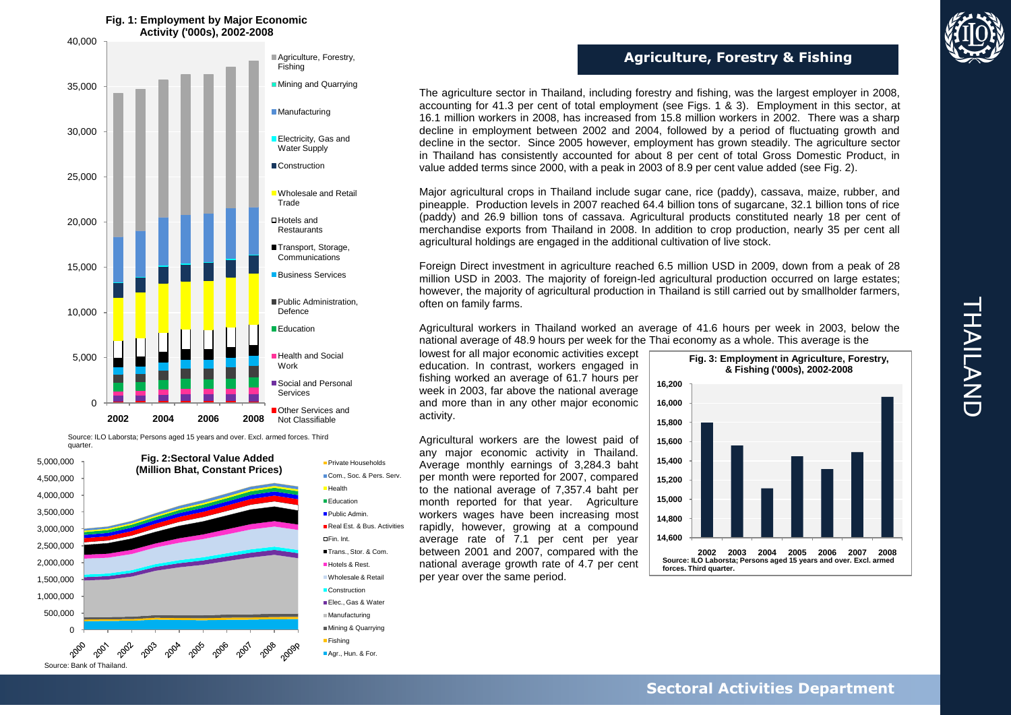

Source: ILO Laborsta; Persons aged 15 years and over. Excl. armed forces. Third quarter.





■Fishing Agr., Hun. & For. **Agriculture, Forestry & Fishing**

The agriculture sector in Thailand, including forestry and fishing, was the largest employer in 2008, accounting for 41.3 per cent of total employment (see Figs. 1 & 3). Employment in this sector, at 16.1 million workers in 2008, has increased from 15.8 million workers in 2002. There was a sharp decline in employment between 2002 and 2004, followed by a period of fluctuating growth and decline in the sector. Since 2005 however, employment has grown steadily. The agriculture sector in Thailand has consistently accounted for about 8 per cent of total Gross Domestic Product, in value added terms since 2000, with a peak in 2003 of 8.9 per cent value added (see Fig. 2).

Major agricultural crops in Thailand include sugar cane, rice (paddy), cassava, maize, rubber, and pineapple. Production levels in 2007 reached 64.4 billion tons of sugarcane, 32.1 billion tons of rice (paddy) and 26.9 billion tons of cassava. Agricultural products constituted nearly 18 per cent of merchandise exports from Thailand in 2008. In addition to crop production, nearly 35 per cent all agricultural holdings are engaged in the additional cultivation of live stock.

Foreign Direct investment in agriculture reached 6.5 million USD in 2009, down from a peak of 28 million USD in 2003. The majority of foreign-led agricultural production occurred on large estates; however, the majority of agricultural production in Thailand is still carried out by smallholder farmers, often on family farms.

Agricultural workers in Thailand worked an average of 41.6 hours per week in 2003, below the national average of 48.9 hours per week for the Thai economy as a whole. This average is the

lowest for all major economic activities except education. In contrast, workers engaged in fishing worked an average of 61.7 hours per week in 2003, far above the national average and more than in any other major economic activity.

Agricultural workers are the lowest paid of any major economic activity in Thailand. Average monthly earnings of 3,284.3 baht per month were reported for 2007, compared to the national average of 7,357.4 baht per month reported for that year. Agriculture workers wages have been increasing most rapidly, however, growing at a compound average rate of 7.1 per cent per year between 2001 and 2007, compared with the national average growth rate of 4.7 per cent per year over the same period.





Source: Bank of Thailand.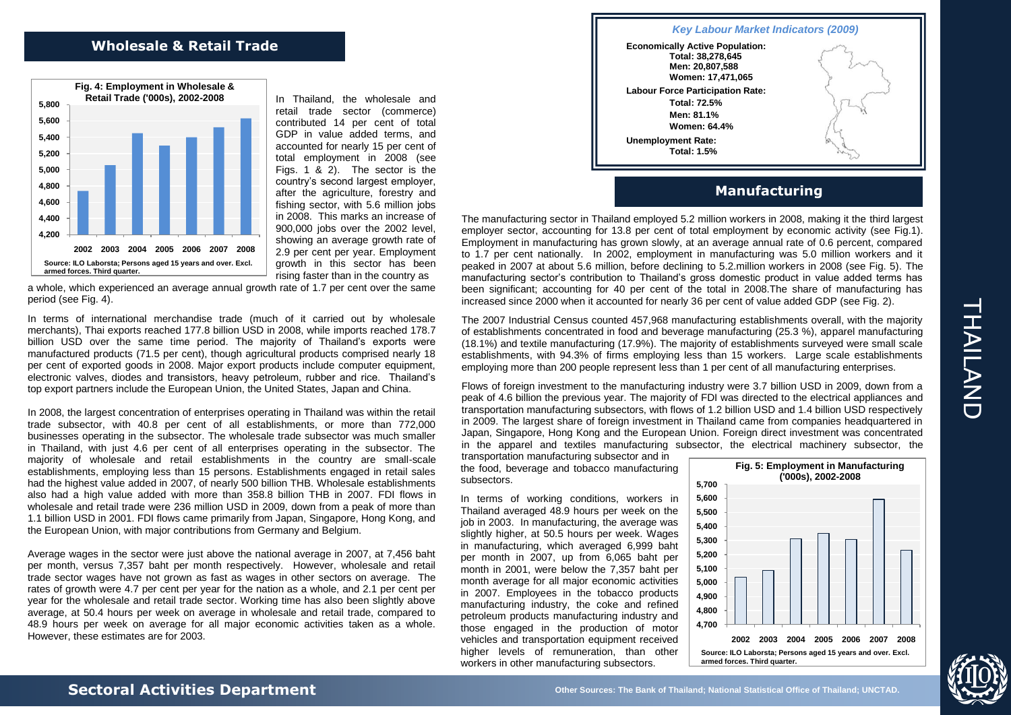## **Wholesale & Retail Trade**



In Thailand, the wholesale and retail trade sector (commerce) contributed 14 per cent of total GDP in value added terms, and accounted for nearly 15 per cent of total employment in 2008 (see Figs. 1 & 2). The sector is the country's second largest employer, after the agriculture, forestry and fishing sector, with 5.6 million jobs in 2008. This marks an increase of 900,000 jobs over the 2002 level, showing an average growth rate of 2.9 per cent per year. Employment growth in this sector has been rising faster than in the country as

a whole, which experienced an average annual growth rate of 1.7 per cent over the same period (see Fig. 4).

In terms of international merchandise trade (much of it carried out by wholesale merchants), Thai exports reached 177.8 billion USD in 2008, while imports reached 178.7 billion USD over the same time period. The majority of Thailand's exports were manufactured products (71.5 per cent), though agricultural products comprised nearly 18 per cent of exported goods in 2008. Major export products include computer equipment, electronic valves, diodes and transistors, heavy petroleum, rubber and rice. Thailand's top export partners include the European Union, the United States, Japan and China.

In 2008, the largest concentration of enterprises operating in Thailand was within the retail trade subsector, with 40.8 per cent of all establishments, or more than 772,000 businesses operating in the subsector. The wholesale trade subsector was much smaller in Thailand, with just 4.6 per cent of all enterprises operating in the subsector. The majority of wholesale and retail establishments in the country are small-scale establishments, employing less than 15 persons. Establishments engaged in retail sales had the highest value added in 2007, of nearly 500 billion THB. Wholesale establishments also had a high value added with more than 358.8 billion THB in 2007. FDI flows in wholesale and retail trade were 236 million USD in 2009, down from a peak of more than 1.1 billion USD in 2001. FDI flows came primarily from Japan, Singapore, Hong Kong, and the European Union, with major contributions from Germany and Belgium.

Average wages in the sector were just above the national average in 2007, at 7,456 baht per month, versus 7,357 baht per month respectively. However, wholesale and retail trade sector wages have not grown as fast as wages in other sectors on average. The rates of growth were 4.7 per cent per year for the nation as a whole, and 2.1 per cent per year for the wholesale and retail trade sector. Working time has also been slightly above average, at 50.4 hours per week on average in wholesale and retail trade, compared to 48.9 hours per week on average for all major economic activities taken as a whole. However, these estimates are for 2003.



## **Manufacturing**

The manufacturing sector in Thailand employed 5.2 million workers in 2008, making it the third largest employer sector, accounting for 13.8 per cent of total employment by economic activity (see Fig.1). Employment in manufacturing has grown slowly, at an average annual rate of 0.6 percent, compared to 1.7 per cent nationally. In 2002, employment in manufacturing was 5.0 million workers and it peaked in 2007 at about 5.6 million, before declining to 5.2.million workers in 2008 (see Fig. 5). The manufacturing sector's contribution to Thailand's gross domestic product in value added terms has been significant; accounting for 40 per cent of the total in 2008.The share of manufacturing has increased since 2000 when it accounted for nearly 36 per cent of value added GDP (see Fig. 2).

The 2007 Industrial Census counted 457,968 manufacturing establishments overall, with the majority of establishments concentrated in food and beverage manufacturing (25.3 %), apparel manufacturing (18.1%) and textile manufacturing (17.9%). The majority of establishments surveyed were small scale establishments, with 94.3% of firms employing less than 15 workers. Large scale establishments employing more than 200 people represent less than 1 per cent of all manufacturing enterprises.

Flows of foreign investment to the manufacturing industry were 3.7 billion USD in 2009, down from a peak of 4.6 billion the previous year. The majority of FDI was directed to the electrical appliances and transportation manufacturing subsectors, with flows of 1.2 billion USD and 1.4 billion USD respectively in 2009. The largest share of foreign investment in Thailand came from companies headquartered in Japan, Singapore, Hong Kong and the European Union. Foreign direct investment was concentrated in the apparel and textiles manufacturing subsector, the electrical machinery subsector, the

transportation manufacturing subsector and in the food, beverage and tobacco manufacturing subsectors.

In terms of working conditions, workers in Thailand averaged 48.9 hours per week on the job in 2003. In manufacturing, the average was slightly higher, at 50.5 hours per week. Wages in manufacturing, which averaged 6,999 baht per month in 2007, up from 6,065 baht per month in 2001, were below the 7,357 baht per month average for all major economic activities in 2007. Employees in the tobacco products manufacturing industry, the coke and refined petroleum products manufacturing industry and those engaged in the production of motor vehicles and transportation equipment received higher levels of remuneration, than other workers in other manufacturing subsectors.

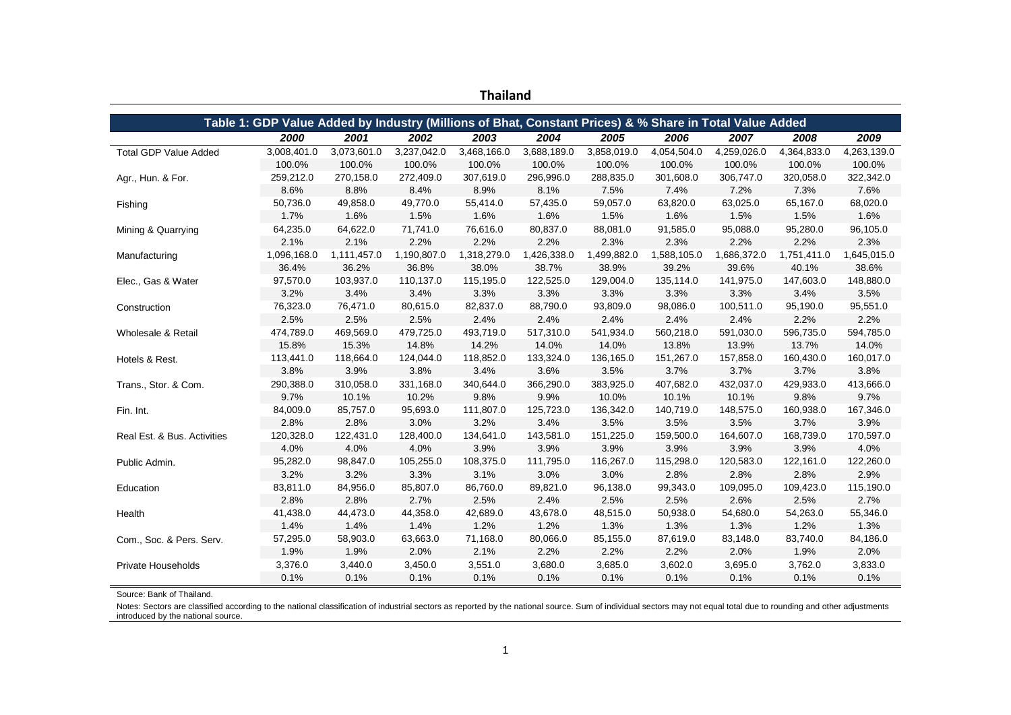| <u>Haliahu</u>               |                                                                                                         |             |             |             |             |             |             |             |             |             |
|------------------------------|---------------------------------------------------------------------------------------------------------|-------------|-------------|-------------|-------------|-------------|-------------|-------------|-------------|-------------|
|                              |                                                                                                         |             |             |             |             |             |             |             |             |             |
|                              | Table 1: GDP Value Added by Industry (Millions of Bhat, Constant Prices) & % Share in Total Value Added |             |             |             |             |             |             |             |             |             |
|                              | 2000                                                                                                    | 2001        | 2002        | 2003        | 2004        | 2005        | 2006        | 2007        | 2008        | 2009        |
| <b>Total GDP Value Added</b> | 3,008,401.0                                                                                             | 3,073,601.0 | 3,237,042.0 | 3,468,166.0 | 3,688,189.0 | 3,858,019.0 | 4,054,504.0 | 4,259,026.0 | 4,364,833.0 | 4,263,139.0 |
|                              | 100.0%                                                                                                  | 100.0%      | 100.0%      | 100.0%      | 100.0%      | 100.0%      | 100.0%      | 100.0%      | 100.0%      | 100.0%      |
| Agr., Hun. & For.            | 259,212.0                                                                                               | 270,158.0   | 272,409.0   | 307,619.0   | 296,996.0   | 288,835.0   | 301,608.0   | 306,747.0   | 320,058.0   | 322,342.0   |
|                              | 8.6%                                                                                                    | 8.8%        | 8.4%        | 8.9%        | 8.1%        | 7.5%        | 7.4%        | 7.2%        | 7.3%        | 7.6%        |
| Fishing                      | 50,736.0                                                                                                | 49,858.0    | 49,770.0    | 55,414.0    | 57,435.0    | 59,057.0    | 63,820.0    | 63,025.0    | 65,167.0    | 68,020.0    |
|                              | 1.7%                                                                                                    | 1.6%        | 1.5%        | 1.6%        | 1.6%        | 1.5%        | 1.6%        | 1.5%        | 1.5%        | 1.6%        |
| Mining & Quarrying           | 64,235.0                                                                                                | 64,622.0    | 71,741.0    | 76,616.0    | 80,837.0    | 88,081.0    | 91,585.0    | 95,088.0    | 95,280.0    | 96,105.0    |
|                              | 2.1%                                                                                                    | 2.1%        | 2.2%        | 2.2%        | 2.2%        | 2.3%        | 2.3%        | 2.2%        | 2.2%        | 2.3%        |
| Manufacturing                | 1,096,168.0                                                                                             | 1,111,457.0 | 1,190,807.0 | 1,318,279.0 | 1,426,338.0 | 1,499,882.0 | 1,588,105.0 | 1,686,372.0 | 1,751,411.0 | 1,645,015.0 |
|                              | 36.4%                                                                                                   | 36.2%       | 36.8%       | 38.0%       | 38.7%       | 38.9%       | 39.2%       | 39.6%       | 40.1%       | 38.6%       |
| Elec., Gas & Water           | 97,570.0                                                                                                | 103,937.0   | 110,137.0   | 115,195.0   | 122,525.0   | 129,004.0   | 135,114.0   | 141,975.0   | 147,603.0   | 148,880.0   |
|                              | 3.2%                                                                                                    | 3.4%        | 3.4%        | 3.3%        | 3.3%        | 3.3%        | 3.3%        | 3.3%        | 3.4%        | 3.5%        |
| Construction                 | 76,323.0                                                                                                | 76,471.0    | 80,615.0    | 82,837.0    | 88,790.0    | 93,809.0    | 98,086.0    | 100,511.0   | 95,190.0    | 95,551.0    |
|                              | 2.5%                                                                                                    | 2.5%        | 2.5%        | 2.4%        | 2.4%        | 2.4%        | 2.4%        | 2.4%        | 2.2%        | 2.2%        |
| Wholesale & Retail           | 474,789.0                                                                                               | 469,569.0   | 479,725.0   | 493,719.0   | 517,310.0   | 541,934.0   | 560,218.0   | 591,030.0   | 596,735.0   | 594,785.0   |
|                              | 15.8%                                                                                                   | 15.3%       | 14.8%       | 14.2%       | 14.0%       | 14.0%       | 13.8%       | 13.9%       | 13.7%       | 14.0%       |
| Hotels & Rest.               | 113,441.0                                                                                               | 118,664.0   | 124,044.0   | 118,852.0   | 133,324.0   | 136,165.0   | 151,267.0   | 157,858.0   | 160,430.0   | 160,017.0   |
|                              | 3.8%                                                                                                    | 3.9%        | 3.8%        | 3.4%        | 3.6%        | 3.5%        | 3.7%        | 3.7%        | 3.7%        | 3.8%        |
| Trans., Stor. & Com.         | 290,388.0                                                                                               | 310,058.0   | 331,168.0   | 340,644.0   | 366,290.0   | 383,925.0   | 407,682.0   | 432,037.0   | 429,933.0   | 413,666.0   |
|                              | 9.7%                                                                                                    | 10.1%       | 10.2%       | 9.8%        | 9.9%        | 10.0%       | 10.1%       | 10.1%       | 9.8%        | 9.7%        |
| Fin. Int.                    | 84,009.0                                                                                                | 85,757.0    | 95,693.0    | 111,807.0   | 125,723.0   | 136,342.0   | 140,719.0   | 148,575.0   | 160,938.0   | 167,346.0   |
|                              | 2.8%                                                                                                    | 2.8%        | 3.0%        | 3.2%        | 3.4%        | 3.5%        | 3.5%        | 3.5%        | 3.7%        | 3.9%        |
| Real Est. & Bus. Activities  | 120,328.0                                                                                               | 122,431.0   | 128,400.0   | 134,641.0   | 143,581.0   | 151,225.0   | 159,500.0   | 164,607.0   | 168,739.0   | 170,597.0   |
|                              | 4.0%                                                                                                    | 4.0%        | 4.0%        | 3.9%        | 3.9%        | 3.9%        | 3.9%        | 3.9%        | 3.9%        | 4.0%        |
| Public Admin.                | 95,282.0                                                                                                | 98,847.0    | 105,255.0   | 108,375.0   | 111,795.0   | 116,267.0   | 115,298.0   | 120,583.0   | 122,161.0   | 122,260.0   |
|                              | 3.2%                                                                                                    | 3.2%        | 3.3%        | 3.1%        | 3.0%        | 3.0%        | 2.8%        | 2.8%        | 2.8%        | 2.9%        |
| Education                    | 83,811.0                                                                                                | 84,956.0    | 85,807.0    | 86,760.0    | 89,821.0    | 96,138.0    | 99,343.0    | 109,095.0   | 109,423.0   | 115,190.0   |
|                              | 2.8%                                                                                                    | 2.8%        | 2.7%        | 2.5%        | 2.4%        | 2.5%        | 2.5%        | 2.6%        | 2.5%        | 2.7%        |
| Health                       | 41,438.0                                                                                                | 44,473.0    | 44,358.0    | 42,689.0    | 43,678.0    | 48,515.0    | 50,938.0    | 54,680.0    | 54,263.0    | 55,346.0    |
|                              | 1.4%                                                                                                    | 1.4%        | 1.4%        | 1.2%        | 1.2%        | 1.3%        | 1.3%        | 1.3%        | 1.2%        | 1.3%        |
| Com., Soc. & Pers. Serv.     | 57,295.0                                                                                                | 58,903.0    | 63,663.0    | 71,168.0    | 80,066.0    | 85,155.0    | 87,619.0    | 83,148.0    | 83,740.0    | 84,186.0    |
|                              | 1.9%                                                                                                    | 1.9%        | 2.0%        | 2.1%        | 2.2%        | 2.2%        | 2.2%        | 2.0%        | 1.9%        | 2.0%        |
| Private Households           | 3,376.0                                                                                                 | 3,440.0     | 3,450.0     | 3,551.0     | 3,680.0     | 3,685.0     | 3,602.0     | 3,695.0     | 3,762.0     | 3,833.0     |
|                              | 0.1%                                                                                                    | 0.1%        | 0.1%        | 0.1%        | 0.1%        | 0.1%        | 0.1%        | 0.1%        | 0.1%        | 0.1%        |

**Thailand**

Source: Bank of Thailand.

Notes: Sectors are classified according to the national classification of industrial sectors as reported by the national source. Sum of individual sectors may not equal total due to rounding and other adjustments introduced by the national source.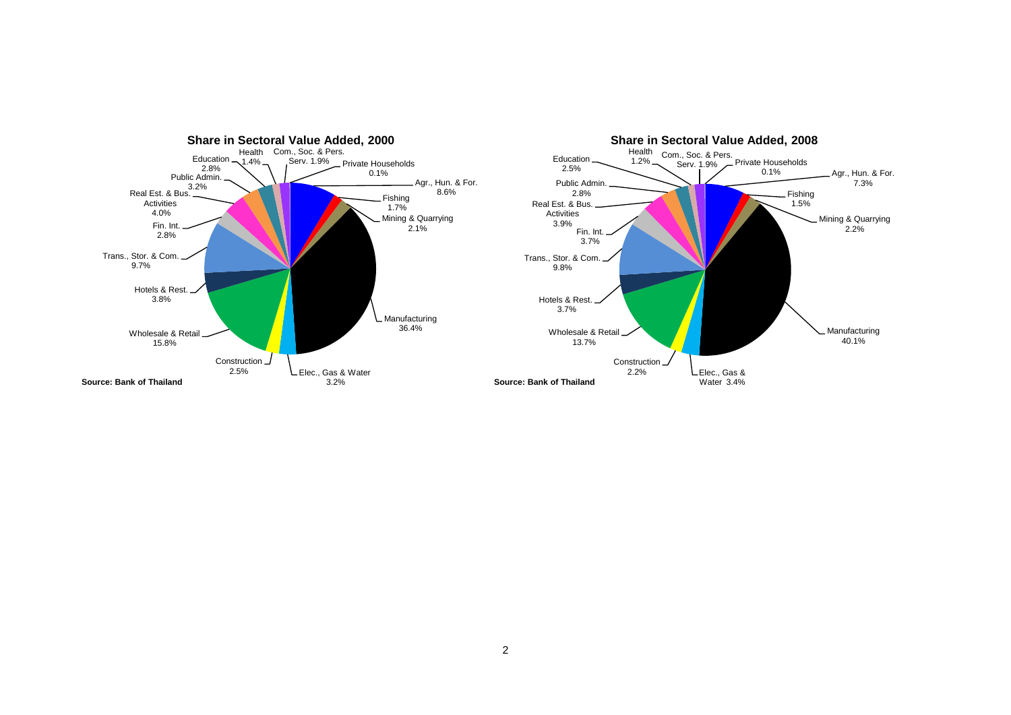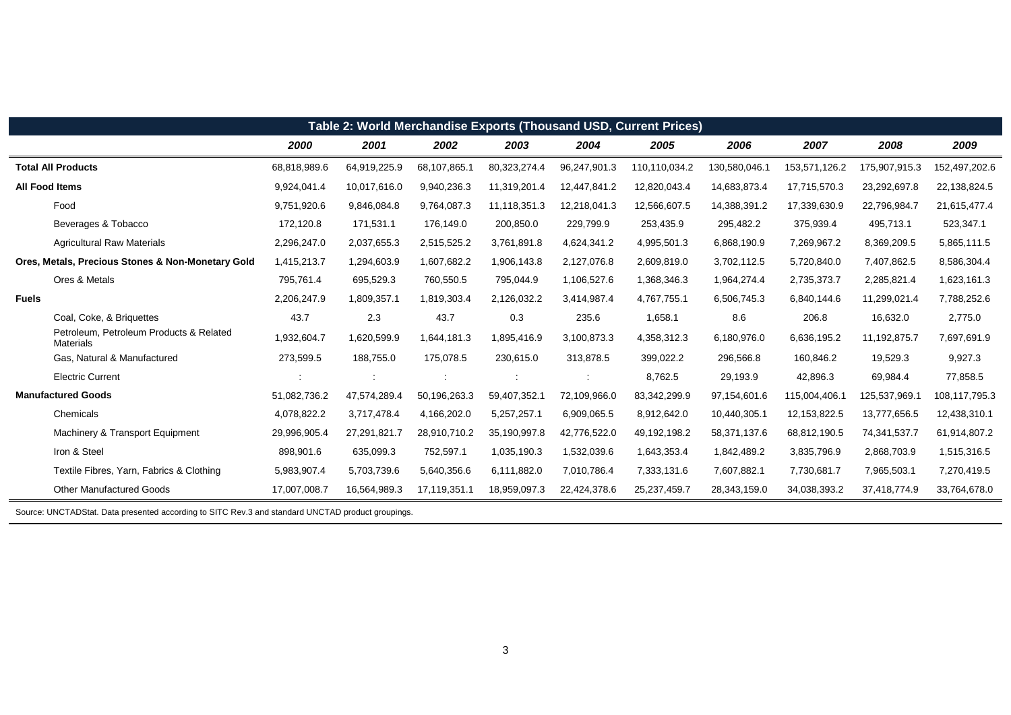| Table 2: World Merchandise Exports (Thousand USD, Current Prices) |                                                   |              |              |              |              |              |                |               |               |               |               |
|-------------------------------------------------------------------|---------------------------------------------------|--------------|--------------|--------------|--------------|--------------|----------------|---------------|---------------|---------------|---------------|
|                                                                   |                                                   | 2000         | 2001         | 2002         | 2003         | 2004         | 2005           | 2006          | 2007          | 2008          | 2009          |
| <b>Total All Products</b>                                         |                                                   | 68,818,989.6 | 64,919,225.9 | 68,107,865.1 | 80,323,274.4 | 96,247,901.3 | 110,110,034.2  | 130,580,046.1 | 153,571,126.2 | 175,907,915.3 | 152,497,202.6 |
| <b>All Food Items</b>                                             |                                                   | 9,924,041.4  | 10,017,616.0 | 9,940,236.3  | 11,319,201.4 | 12,447,841.2 | 12,820,043.4   | 14,683,873.4  | 17,715,570.3  | 23,292,697.8  | 22,138,824.5  |
| Food                                                              |                                                   | 9,751,920.6  | 9,846,084.8  | 9,764,087.3  | 11,118,351.3 | 12,218,041.3 | 12,566,607.5   | 14,388,391.2  | 17,339,630.9  | 22,796,984.7  | 21,615,477.4  |
|                                                                   | Beverages & Tobacco                               | 172,120.8    | 171,531.1    | 176,149.0    | 200,850.0    | 229,799.9    | 253,435.9      | 295,482.2     | 375,939.4     | 495,713.1     | 523,347.1     |
|                                                                   | <b>Agricultural Raw Materials</b>                 | 2,296,247.0  | 2,037,655.3  | 2,515,525.2  | 3,761,891.8  | 4,624,341.2  | 4,995,501.3    | 6,868,190.9   | 7,269,967.2   | 8,369,209.5   | 5,865,111.5   |
|                                                                   | Ores, Metals, Precious Stones & Non-Monetary Gold | 1,415,213.7  | 1,294,603.9  | 1,607,682.2  | 1,906,143.8  | 2,127,076.8  | 2,609,819.0    | 3,702,112.5   | 5,720,840.0   | 7,407,862.5   | 8,586,304.4   |
|                                                                   | Ores & Metals                                     | 795,761.4    | 695,529.3    | 760,550.5    | 795,044.9    | 1,106,527.6  | 1,368,346.3    | 1,964,274.4   | 2,735,373.7   | 2,285,821.4   | 1,623,161.3   |
| <b>Fuels</b>                                                      |                                                   | 2,206,247.9  | 1,809,357.1  | 1,819,303.4  | 2,126,032.2  | 3,414,987.4  | 4,767,755.1    | 6,506,745.3   | 6,840,144.6   | 11,299,021.4  | 7,788,252.6   |
|                                                                   | Coal, Coke, & Briquettes                          | 43.7         | 2.3          | 43.7         | 0.3          | 235.6        | 1,658.1        | 8.6           | 206.8         | 16,632.0      | 2,775.0       |
| Materials                                                         | Petroleum, Petroleum Products & Related           | 1,932,604.7  | 1,620,599.9  | 1,644,181.3  | 1,895,416.9  | 3,100,873.3  | 4,358,312.3    | 6,180,976.0   | 6,636,195.2   | 11,192,875.7  | 7,697,691.9   |
|                                                                   | Gas, Natural & Manufactured                       | 273,599.5    | 188,755.0    | 175,078.5    | 230,615.0    | 313,878.5    | 399,022.2      | 296,566.8     | 160,846.2     | 19,529.3      | 9,927.3       |
|                                                                   | <b>Electric Current</b>                           |              | ÷            |              |              | ÷            | 8,762.5        | 29,193.9      | 42,896.3      | 69,984.4      | 77,858.5      |
| <b>Manufactured Goods</b>                                         |                                                   | 51,082,736.2 | 47,574,289.4 | 50,196,263.3 | 59,407,352.1 | 72,109,966.0 | 83,342,299.9   | 97,154,601.6  | 115,004,406.1 | 125,537,969.1 | 108,117,795.3 |
| Chemicals                                                         |                                                   | 4,078,822.2  | 3,717,478.4  | 4,166,202.0  | 5,257,257.1  | 6,909,065.5  | 8,912,642.0    | 10,440,305.1  | 12,153,822.5  | 13,777,656.5  | 12,438,310.1  |
|                                                                   | Machinery & Transport Equipment                   | 29,996,905.4 | 27,291,821.7 | 28,910,710.2 | 35,190,997.8 | 42,776,522.0 | 49, 192, 198.2 | 58,371,137.6  | 68,812,190.5  | 74,341,537.7  | 61,914,807.2  |
| Iron & Steel                                                      |                                                   | 898,901.6    | 635,099.3    | 752,597.1    | 1,035,190.3  | 1,532,039.6  | 1,643,353.4    | 1,842,489.2   | 3,835,796.9   | 2,868,703.9   | 1,515,316.5   |
|                                                                   | Textile Fibres, Yarn, Fabrics & Clothing          | 5,983,907.4  | 5,703,739.6  | 5,640,356.6  | 6,111,882.0  | 7,010,786.4  | 7,333,131.6    | 7,607,882.1   | 7,730,681.7   | 7,965,503.1   | 7,270,419.5   |
|                                                                   | <b>Other Manufactured Goods</b>                   | 17,007,008.7 | 16,564,989.3 | 17,119,351.1 | 18,959,097.3 | 22,424,378.6 | 25,237,459.7   | 28,343,159.0  | 34,038,393.2  | 37,418,774.9  | 33,764,678.0  |

Source: UNCTADStat. Data presented according to SITC Rev.3 and standard UNCTAD product groupings.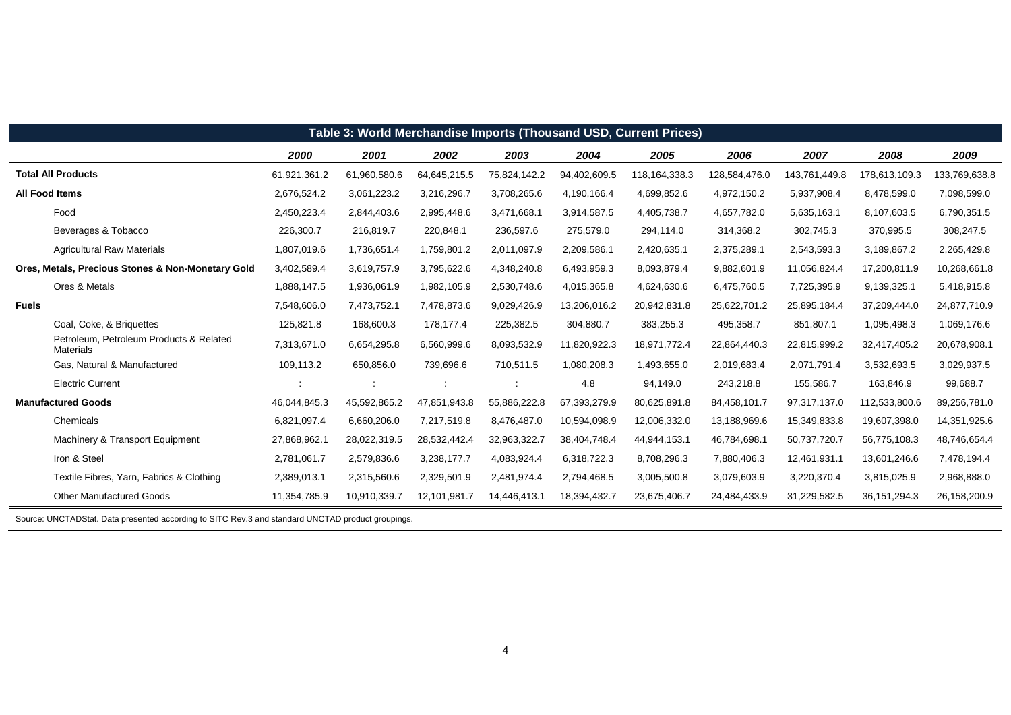| Table 3: World Merchandise Imports (Thousand USD, Current Prices) |                                                             |              |              |              |              |              |                 |               |               |                 |               |
|-------------------------------------------------------------------|-------------------------------------------------------------|--------------|--------------|--------------|--------------|--------------|-----------------|---------------|---------------|-----------------|---------------|
|                                                                   |                                                             | 2000         | 2001         | 2002         | 2003         | 2004         | 2005            | 2006          | 2007          | 2008            | 2009          |
|                                                                   | <b>Total All Products</b>                                   | 61,921,361.2 | 61,960,580.6 | 64,645,215.5 | 75,824,142.2 | 94,402,609.5 | 118, 164, 338.3 | 128,584,476.0 | 143,761,449.8 | 178,613,109.3   | 133,769,638.8 |
|                                                                   | <b>All Food Items</b>                                       | 2,676,524.2  | 3,061,223.2  | 3,216,296.7  | 3,708,265.6  | 4,190,166.4  | 4,699,852.6     | 4,972,150.2   | 5,937,908.4   | 8,478,599.0     | 7,098,599.0   |
|                                                                   | Food                                                        | 2,450,223.4  | 2,844,403.6  | 2,995,448.6  | 3,471,668.1  | 3,914,587.5  | 4,405,738.7     | 4,657,782.0   | 5,635,163.1   | 8,107,603.5     | 6,790,351.5   |
|                                                                   | Beverages & Tobacco                                         | 226,300.7    | 216,819.7    | 220,848.1    | 236,597.6    | 275,579.0    | 294,114.0       | 314,368.2     | 302,745.3     | 370,995.5       | 308,247.5     |
|                                                                   | <b>Agricultural Raw Materials</b>                           | 1,807,019.6  | 1,736,651.4  | 1,759,801.2  | 2,011,097.9  | 2,209,586.1  | 2,420,635.1     | 2,375,289.1   | 2,543,593.3   | 3,189,867.2     | 2,265,429.8   |
|                                                                   | Ores, Metals, Precious Stones & Non-Monetary Gold           | 3,402,589.4  | 3,619,757.9  | 3,795,622.6  | 4,348,240.8  | 6,493,959.3  | 8,093,879.4     | 9,882,601.9   | 11,056,824.4  | 17,200,811.9    | 10,268,661.8  |
|                                                                   | Ores & Metals                                               | 1,888,147.5  | 1,936,061.9  | 1,982,105.9  | 2,530,748.6  | 4,015,365.8  | 4,624,630.6     | 6,475,760.5   | 7,725,395.9   | 9,139,325.1     | 5,418,915.8   |
| <b>Fuels</b>                                                      |                                                             | 7,548,606.0  | 7,473,752.1  | 7,478,873.6  | 9,029,426.9  | 13,206,016.2 | 20,942,831.8    | 25,622,701.2  | 25,895,184.4  | 37,209,444.0    | 24,877,710.9  |
|                                                                   | Coal, Coke, & Briguettes                                    | 125,821.8    | 168,600.3    | 178,177.4    | 225,382.5    | 304,880.7    | 383,255.3       | 495,358.7     | 851,807.1     | 1,095,498.3     | 1,069,176.6   |
|                                                                   | Petroleum, Petroleum Products & Related<br><b>Materials</b> | 7,313,671.0  | 6,654,295.8  | 6,560,999.6  | 8,093,532.9  | 11,820,922.3 | 18,971,772.4    | 22,864,440.3  | 22,815,999.2  | 32,417,405.2    | 20,678,908.1  |
|                                                                   | Gas, Natural & Manufactured                                 | 109,113.2    | 650,856.0    | 739,696.6    | 710,511.5    | 1,080,208.3  | 1,493,655.0     | 2,019,683.4   | 2,071,791.4   | 3,532,693.5     | 3,029,937.5   |
|                                                                   | <b>Electric Current</b>                                     |              |              |              |              | 4.8          | 94,149.0        | 243,218.8     | 155,586.7     | 163,846.9       | 99,688.7      |
|                                                                   | <b>Manufactured Goods</b>                                   | 46,044,845.3 | 45,592,865.2 | 47,851,943.8 | 55,886,222.8 | 67,393,279.9 | 80,625,891.8    | 84,458,101.7  | 97,317,137.0  | 112,533,800.6   | 89,256,781.0  |
|                                                                   | Chemicals                                                   | 6,821,097.4  | 6,660,206.0  | 7,217,519.8  | 8,476,487.0  | 10,594,098.9 | 12,006,332.0    | 13,188,969.6  | 15,349,833.8  | 19,607,398.0    | 14,351,925.6  |
|                                                                   | Machinery & Transport Equipment                             | 27,868,962.1 | 28,022,319.5 | 28,532,442.4 | 32,963,322.7 | 38,404,748.4 | 44,944,153.1    | 46,784,698.1  | 50,737,720.7  | 56,775,108.3    | 48,746,654.4  |
|                                                                   | Iron & Steel                                                | 2,781,061.7  | 2,579,836.6  | 3,238,177.7  | 4,083,924.4  | 6,318,722.3  | 8,708,296.3     | 7,880,406.3   | 12,461,931.1  | 13,601,246.6    | 7,478,194.4   |
|                                                                   | Textile Fibres, Yarn, Fabrics & Clothing                    | 2,389,013.1  | 2,315,560.6  | 2,329,501.9  | 2,481,974.4  | 2,794,468.5  | 3,005,500.8     | 3,079,603.9   | 3,220,370.4   | 3,815,025.9     | 2,968,888.0   |
|                                                                   | <b>Other Manufactured Goods</b>                             | 11,354,785.9 | 10,910,339.7 | 12,101,981.7 | 14,446,413.1 | 18,394,432.7 | 23,675,406.7    | 24,484,433.9  | 31,229,582.5  | 36, 151, 294. 3 | 26,158,200.9  |

Source: UNCTADStat. Data presented according to SITC Rev.3 and standard UNCTAD product groupings.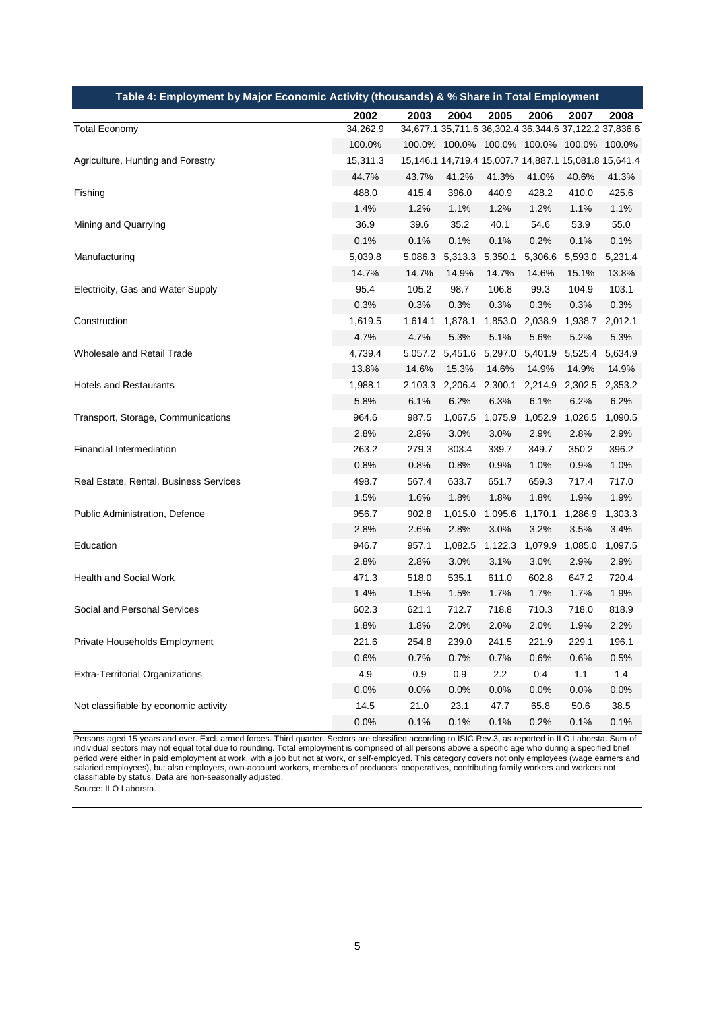| Table 4: Employment by Major Economic Activity (thousands) & % Share in Total Employment |          |         |                 |                 |         |                                                       |         |
|------------------------------------------------------------------------------------------|----------|---------|-----------------|-----------------|---------|-------------------------------------------------------|---------|
|                                                                                          | 2002     | 2003    | 2004            | 2005            | 2006    | 2007                                                  | 2008    |
| <b>Total Economy</b>                                                                     | 34,262.9 |         |                 |                 |         | 34,677.1 35,711.6 36,302.4 36,344.6 37,122.2 37,836.6 |         |
|                                                                                          | 100.0%   |         |                 |                 |         | 100.0% 100.0% 100.0% 100.0% 100.0% 100.0%             |         |
| Agriculture, Hunting and Forestry                                                        | 15,311.3 |         |                 |                 |         | 15,146.1 14,719.4 15,007.7 14,887.1 15,081.8 15,641.4 |         |
|                                                                                          | 44.7%    | 43.7%   | 41.2%           | 41.3%           | 41.0%   | 40.6%                                                 | 41.3%   |
| Fishing                                                                                  | 488.0    | 415.4   | 396.0           | 440.9           | 428.2   | 410.0                                                 | 425.6   |
|                                                                                          | 1.4%     | 1.2%    | 1.1%            | 1.2%            | 1.2%    | 1.1%                                                  | 1.1%    |
| Mining and Quarrying                                                                     | 36.9     | 39.6    | 35.2            | 40.1            | 54.6    | 53.9                                                  | 55.0    |
|                                                                                          | 0.1%     | 0.1%    | 0.1%            | 0.1%            | 0.2%    | 0.1%                                                  | 0.1%    |
| Manufacturing                                                                            | 5,039.8  | 5,086.3 | 5,313.3         | 5,350.1         | 5,306.6 | 5,593.0                                               | 5,231.4 |
|                                                                                          | 14.7%    | 14.7%   | 14.9%           | 14.7%           | 14.6%   | 15.1%                                                 | 13.8%   |
| Electricity, Gas and Water Supply                                                        | 95.4     | 105.2   | 98.7            | 106.8           | 99.3    | 104.9                                                 | 103.1   |
|                                                                                          | 0.3%     | 0.3%    | 0.3%            | 0.3%            | 0.3%    | 0.3%                                                  | 0.3%    |
| Construction                                                                             | 1,619.5  | 1,614.1 | 1,878.1         | 1,853.0         | 2,038.9 | 1,938.7                                               | 2,012.1 |
|                                                                                          | 4.7%     | 4.7%    | 5.3%            | 5.1%            | 5.6%    | 5.2%                                                  | 5.3%    |
| Wholesale and Retail Trade                                                               | 4,739.4  |         | 5,057.2 5,451.6 | 5,297.0 5,401.9 |         | 5,525.4                                               | 5,634.9 |
|                                                                                          | 13.8%    | 14.6%   | 15.3%           | 14.6%           | 14.9%   | 14.9%                                                 | 14.9%   |
| <b>Hotels and Restaurants</b>                                                            | 1,988.1  | 2,103.3 | 2,206.4         | 2,300.1         | 2,214.9 | 2,302.5                                               | 2,353.2 |
|                                                                                          | 5.8%     | 6.1%    | 6.2%            | 6.3%            | 6.1%    | 6.2%                                                  | 6.2%    |
| Transport, Storage, Communications                                                       | 964.6    | 987.5   | 1,067.5         | 1,075.9         | 1,052.9 | 1,026.5                                               | 1,090.5 |
|                                                                                          | 2.8%     | 2.8%    | 3.0%            | 3.0%            | 2.9%    | 2.8%                                                  | 2.9%    |
| Financial Intermediation                                                                 | 263.2    | 279.3   | 303.4           | 339.7           | 349.7   | 350.2                                                 | 396.2   |
|                                                                                          | 0.8%     | 0.8%    | 0.8%            | 0.9%            | 1.0%    | 0.9%                                                  | 1.0%    |
| Real Estate, Rental, Business Services                                                   | 498.7    | 567.4   | 633.7           | 651.7           | 659.3   | 717.4                                                 | 717.0   |
|                                                                                          | 1.5%     | 1.6%    | 1.8%            | 1.8%            | 1.8%    | 1.9%                                                  | 1.9%    |
| Public Administration, Defence                                                           | 956.7    | 902.8   | 1,015.0         | 1,095.6         | 1,170.1 | 1,286.9                                               | 1,303.3 |
|                                                                                          | 2.8%     | 2.6%    | 2.8%            | 3.0%            | 3.2%    | 3.5%                                                  | 3.4%    |
| Education                                                                                | 946.7    | 957.1   | 1,082.5         | 1,122.3         | 1,079.9 | 1,085.0                                               | 1,097.5 |
|                                                                                          | 2.8%     | 2.8%    | 3.0%            | 3.1%            | 3.0%    | 2.9%                                                  | 2.9%    |
| Health and Social Work                                                                   | 471.3    | 518.0   | 535.1           | 611.0           | 602.8   | 647.2                                                 | 720.4   |
|                                                                                          | 1.4%     | 1.5%    | 1.5%            | 1.7%            | 1.7%    | 1.7%                                                  | 1.9%    |
| Social and Personal Services                                                             | 602.3    | 621.1   | 712.7           | 718.8           | 710.3   | 718.0                                                 | 818.9   |
|                                                                                          | 1.8%     | 1.8%    | 2.0%            | 2.0%            | 2.0%    | 1.9%                                                  | 2.2%    |
| Private Households Employment                                                            | 221.6    | 254.8   | 239.0           | 241.5           | 221.9   | 229.1                                                 | 196.1   |
|                                                                                          | 0.6%     | 0.7%    | 0.7%            | 0.7%            | 0.6%    | 0.6%                                                  | 0.5%    |
| <b>Extra-Territorial Organizations</b>                                                   | 4.9      | 0.9     | 0.9             | 2.2             | 0.4     | 1.1                                                   | 1.4     |
|                                                                                          | 0.0%     | 0.0%    | 0.0%            | 0.0%            | 0.0%    | 0.0%                                                  | 0.0%    |
| Not classifiable by economic activity                                                    | 14.5     | 21.0    | 23.1            | 47.7            | 65.8    | 50.6                                                  | 38.5    |
|                                                                                          | 0.0%     | 0.1%    | 0.1%            | 0.1%            | 0.2%    | 0.1%                                                  | 0.1%    |

Persons aged 15 years and over. Excl. armed forces. Third quarter. Sectors are classified according to ISIC Rev.3, as reported in ILO Laborsta. Sum of individual sectors may not equal total due to rounding. Total employment is comprised of all persons above a specific age who during a specified brief period were either in paid employment at work, with a job but not at work, or self-employed. This category covers not only employees (wage earners and salaried employees), but also employers, own-account workers, members of producers' cooperatives, contributing family workers and workers not classifiable by status. Data are non-seasonally adjusted.

Source: ILO Laborsta.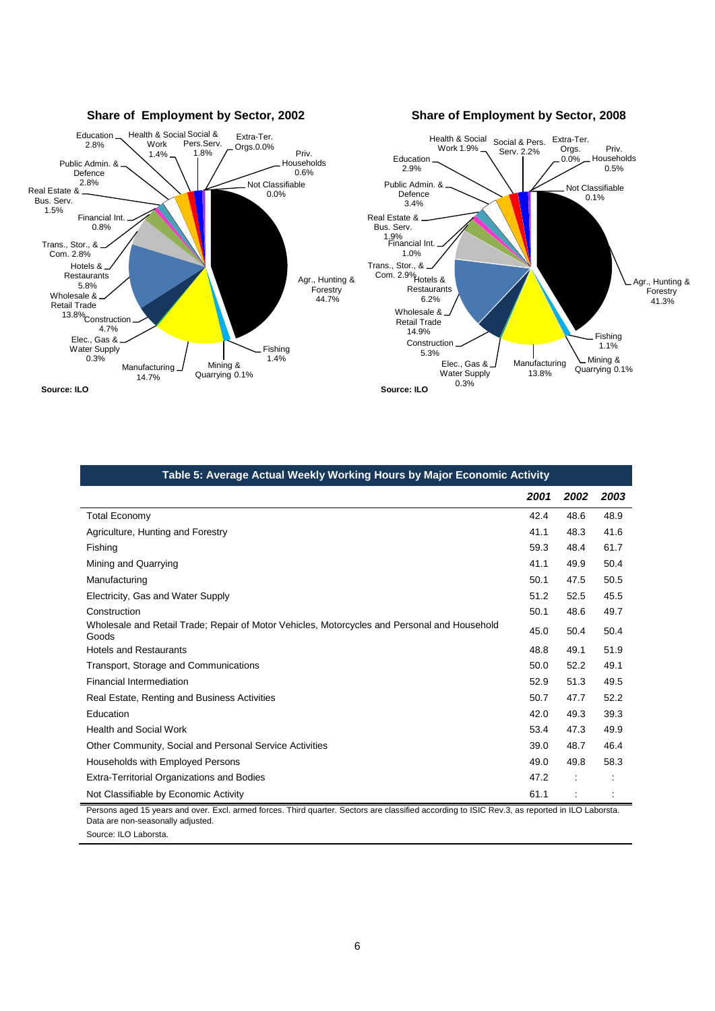

| Table 5: Average Actual Weekly Working Hours by Major Economic Activity                               |      |      |      |  |  |  |  |  |
|-------------------------------------------------------------------------------------------------------|------|------|------|--|--|--|--|--|
|                                                                                                       | 2001 | 2002 | 2003 |  |  |  |  |  |
| <b>Total Economy</b>                                                                                  | 42.4 | 48.6 | 48.9 |  |  |  |  |  |
| Agriculture, Hunting and Forestry                                                                     | 41.1 | 48.3 | 41.6 |  |  |  |  |  |
| Fishing                                                                                               | 59.3 | 48.4 | 61.7 |  |  |  |  |  |
| Mining and Quarrying                                                                                  | 41.1 | 49.9 | 50.4 |  |  |  |  |  |
| Manufacturing                                                                                         | 50.1 | 47.5 | 50.5 |  |  |  |  |  |
| Electricity, Gas and Water Supply                                                                     | 51.2 | 52.5 | 45.5 |  |  |  |  |  |
| Construction                                                                                          | 50.1 | 48.6 | 49.7 |  |  |  |  |  |
| Wholesale and Retail Trade; Repair of Motor Vehicles, Motorcycles and Personal and Household<br>Goods | 45.0 | 50.4 | 50.4 |  |  |  |  |  |
| <b>Hotels and Restaurants</b>                                                                         | 48.8 | 49.1 | 51.9 |  |  |  |  |  |
| Transport, Storage and Communications                                                                 | 50.0 | 52.2 | 49.1 |  |  |  |  |  |
| Financial Intermediation                                                                              | 52.9 | 51.3 | 49.5 |  |  |  |  |  |
| Real Estate, Renting and Business Activities                                                          | 50.7 | 47.7 | 52.2 |  |  |  |  |  |
| Education                                                                                             | 42.0 | 49.3 | 39.3 |  |  |  |  |  |
| <b>Health and Social Work</b>                                                                         | 53.4 | 47.3 | 49.9 |  |  |  |  |  |
| Other Community, Social and Personal Service Activities                                               | 39.0 | 48.7 | 46.4 |  |  |  |  |  |
| Households with Employed Persons                                                                      | 49.0 | 49.8 | 58.3 |  |  |  |  |  |
| Extra-Territorial Organizations and Bodies                                                            | 47.2 |      |      |  |  |  |  |  |
| Not Classifiable by Economic Activity                                                                 | 61.1 |      |      |  |  |  |  |  |

Persons aged 15 years and over. Excl. armed forces. Third quarter. Sectors are classified according to ISIC Rev.3, as reported in ILO Laborsta. Data are non-seasonally adjusted. Source: ILO Laborsta.